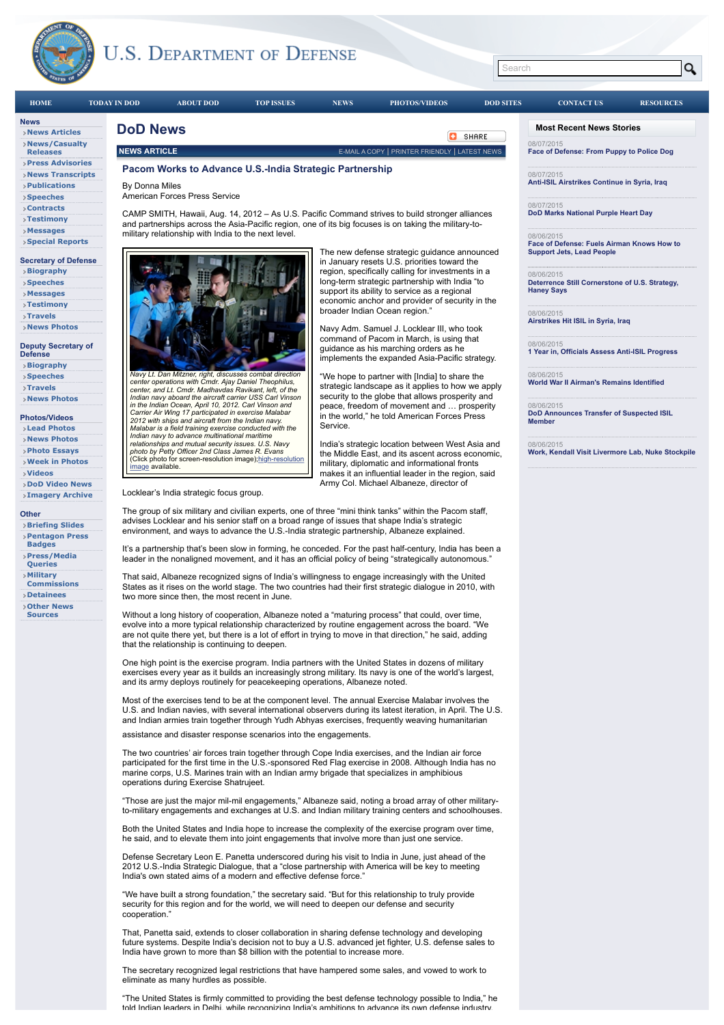



That, Panetta said, extends to closer collaboration in sharing defense technology and developing future systems. Despite India's decision not to buy a U.S. advanced jet fighter, U.S. defense sales to India have grown to more than \$8 billion with the potential to increase more.

cooperation."

The secretary recognized legal restrictions that have hampered some sales, and vowed to work to eliminate as many hurdles as possible.

"The United States is firmly committed to providing the best defense technology possible to India," he told Indian leaders in Delhi, while recognizing India's ambitions to advance its own defense industry